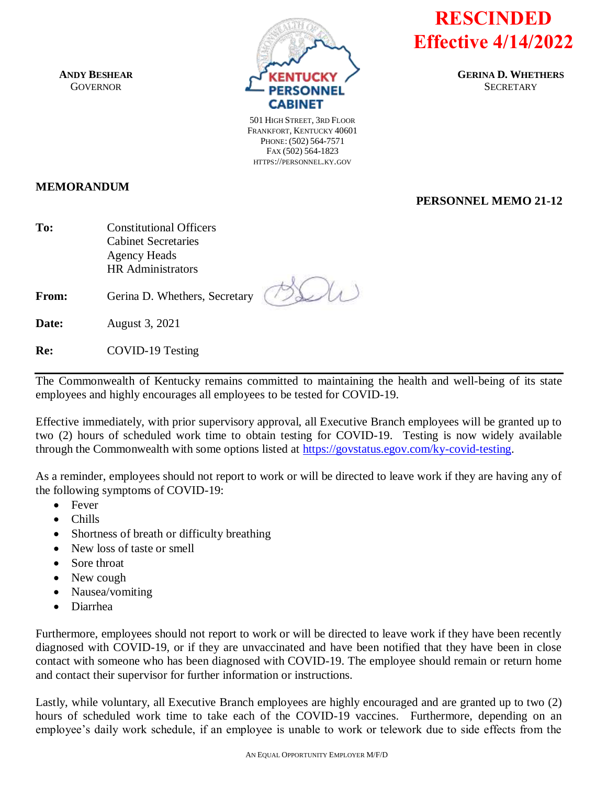**ANDY BESHEAR GOVERNOR** 



**RESCINDED Effective 4/14/2022**

**PERSONNEL MEMO 21-12**

**GERINA D. WHETHERS SECRETARY** 

501 HIGH STREET, 3RD FLOOR FRANKFORT, KENTUCKY 40601 PHONE: (502) 564-7571 FAX (502) 564-1823 HTTPS://PERSONNEL.KY.GOV

## **MEMORANDUM**

**To:** Constitutional Officers Cabinet Secretaries Agency Heads HR Administrators

**From:** Gerina D. Whethers, Secretary

**Date:** August 3, 2021

**Re:** COVID-19 Testing

The Commonwealth of Kentucky remains committed to maintaining the health and well-being of its state employees and highly encourages all employees to be tested for COVID-19.

Effective immediately, with prior supervisory approval, all Executive Branch employees will be granted up to two (2) hours of scheduled work time to obtain testing for COVID-19. Testing is now widely available through the Commonwealth with some options listed at [https://govstatus.egov.com/ky-covid-testing.](https://govstatus.egov.com/ky-covid-testing)

As a reminder, employees should not report to work or will be directed to leave work if they are having any of the following symptoms of COVID-19:

- Fever
- Chills
- Shortness of breath or difficulty breathing
- New loss of taste or smell
- Sore throat
- New cough
- Nausea/vomiting
- Diarrhea

Furthermore, employees should not report to work or will be directed to leave work if they have been recently diagnosed with COVID-19, or if they are unvaccinated and have been notified that they have been in close contact with someone who has been diagnosed with COVID-19. The employee should remain or return home and contact their supervisor for further information or instructions.

Lastly, while voluntary, all Executive Branch employees are highly encouraged and are granted up to two (2) hours of scheduled work time to take each of the COVID-19 vaccines. Furthermore, depending on an employee's daily work schedule, if an employee is unable to work or telework due to side effects from the